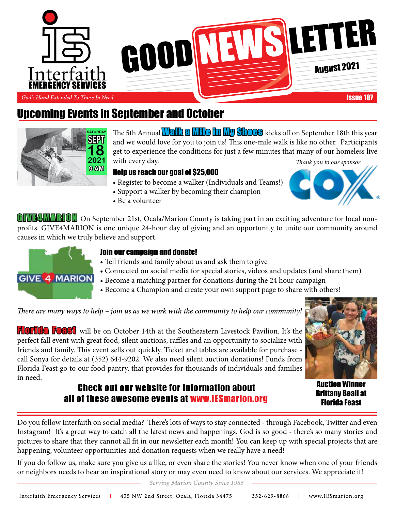

# Upcoming Events in September and October



*Thank you to our sponsor* The 5th Annual **Valk a Mile in My Shoes** kicks off on September 18th this year and we would love for you to join us! This one-mile walk is like no other. Participants get to experience the conditions for just a few minutes that many of our homeless live with every day.

#### Help us reach our goal of \$25,000

- Register to become a walker (Individuals and Teams!)
- Support a walker by becoming their champion
- Be a volunteer

GIVE4MARION On September 21st, Ocala/Marion County is taking part in an exciting adventure for local nonprofits. GIVE4MARION is one unique 24-hour day of giving and an opportunity to unite our community around causes in which we truly believe and support.



#### Join our campaign and donate!

- Tell friends and family about us and ask them to give
- Connected on social media for special stories, videos and updates (and share them)
- Become a matching partner for donations during the 24 hour campaign
- Become a Champion and create your own support page to share with others!

*There are many ways to help – join us as we work with the community to help our community!* 

FLOTICA FOAST will be on October 14th at the Southeastern Livestock Pavilion. It's the perfect fall event with great food, silent auctions, raffles and an opportunity to socialize with friends and family. This event sells out quickly. Ticket and tables are available for purchase call Sonya for details at (352) 644-9202. We also need silent auction donations! Funds from Florida Feast go to our food pantry, that provides for thousands of individuals and families in need.

## Check out our website for information about all of these awesome events at www.IESmarion.org

Auction Winner Brittany Beall at Florida Feast

Do you follow Interfaith on social media? There's lots of ways to stay connected - through Facebook, Twitter and even Instagram! It's a great way to catch all the latest news and happenings. God is so good - there's so many stories and pictures to share that they cannot all fit in our newsletter each month! You can keep up with special projects that are happening, volunteer opportunities and donation requests when we really have a need!

If you do follow us, make sure you give us a like, or even share the stories! You never know when one of your friends or neighbors needs to hear an inspirational story or may even need to know about our services. We appreciate it!

Serving Marion County Since 1983

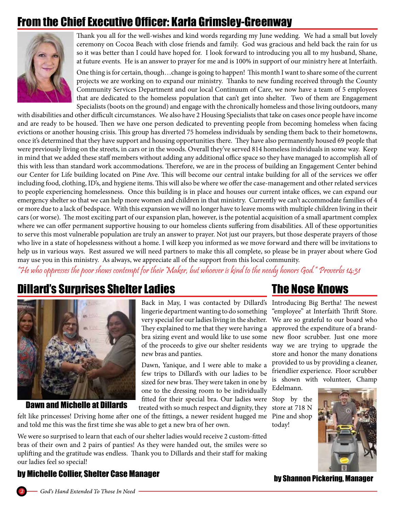# From the Chief Executive Officer: Karla Grimsley-Greenway



Thank you all for the well-wishes and kind words regarding my June wedding. We had a small but lovely ceremony on Cocoa Beach with close friends and family. God was gracious and held back the rain for us so it was better than I could have hoped for. I look forward to introducing you all to my husband, Shane, at future events. He is an answer to prayer for me and is 100% in support of our ministry here at Interfaith.

One thing is for certain, though…change is going to happen! This month I want to share some of the current projects we are working on to expand our ministry. Thanks to new funding received through the County Community Services Department and our local Continuum of Care, we now have a team of 5 employees that are dedicated to the homeless population that can't get into shelter. Two of them are Engagement Specialists (boots on the ground) and engage with the chronically homeless and those living outdoors, many

with disabilities and other difficult circumstances. We also have 2 Housing Specialists that take on cases once people have income and are ready to be housed. Then we have one person dedicated to preventing people from becoming homeless when facing evictions or another housing crisis. This group has diverted 75 homeless individuals by sending them back to their hometowns, once it's determined that they have support and housing opportunities there. They have also permanently housed 69 people that were previously living on the streets, in cars or in the woods. Overall they've served 814 homeless individuals in some way. Keep in mind that we added these staff members without adding any additional office space so they have managed to accomplish all of this with less than standard work accommodations. Therefore, we are in the process of building an Engagement Center behind our Center for Life building located on Pine Ave. This will become our central intake building for all of the services we offer including food, clothing, ID's, and hygiene items. This will also be where we offer the case-management and other related services to people experiencing homelessness. Once this building is in place and houses our current intake offices, we can expand our emergency shelter so that we can help more women and children in that ministry. Currently we can't accommodate families of 4 or more due to a lack of bedspace. With this expansion we will no longer have to leave moms with multiple children living in their cars (or worse). The most exciting part of our expansion plan, however, is the potential acquisition of a small apartment complex where we can offer permanent supportive housing to our homeless clients suffering from disabilities. All of these opportunities to serve this most vulnerable population are truly an answer to prayer. Not just our prayers, but those desperate prayers of those who live in a state of hopelessness without a home. I will keep you informed as we move forward and there will be invitations to help us in various ways. Rest assured we will need partners to make this all complete, so please be in prayer about where God may use you in this ministry. As always, we appreciate all of the support from this local community.

"He who oppresses the poor shows contempt for their Maker, but whoever is kind to the needy honors God." Proverbs 14:31

## Dillard's Surprises Shelter Ladies



Dawn and Michelle at Dillards

Back in May, I was contacted by Dillard's lingerie department wanting to do something very special for our ladies living in the shelter. They explained to me that they were having a bra sizing event and would like to use some of the proceeds to give our shelter residents new bras and panties.

Dawn, Yanique, and I were able to make a few trips to Dillard's with our ladies to be sized for new bras. They were taken in one by one to the dressing room to be individually fitted for their special bra. Our ladies were Stop by the treated with so much respect and dignity, they

felt like princesses! Driving home after one of the fittings, a newer resident hugged me Pine and shop and told me this was the first time she was able to get a new bra of her own.

We were so surprised to learn that each of our shelter ladies would receive 2 custom-fitted bras of their own and 2 pairs of panties! As they were handed out, the smiles were so uplifting and the gratitude was endless. Thank you to Dillards and their staff for making our ladies feel so special!

## The Nose Knows

Introducing Big Bertha! The newest "employee" at Interfaith Thrift Store. We are so grateful to our board who approved the expenditure of a brandnew floor scrubber. Just one more way we are trying to upgrade the store and honor the many donations provided to us by providing a cleaner, friendlier experience. Floor scrubber is shown with volunteer, Champ Edelmann.

store at 718 N today!



by Shannon Pickering, Manager

### by Michelle Collier, Shelter Case Manager

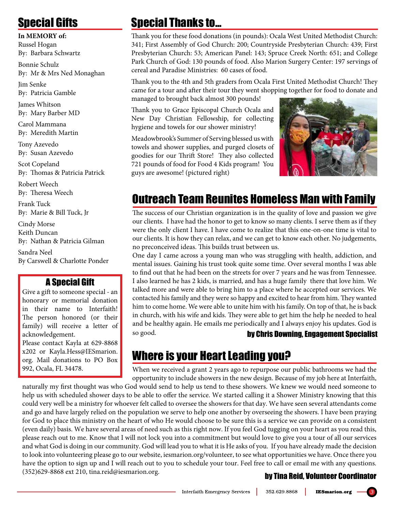# Special Gifts

#### **In MEMORY of:**

Russel Hogan By: Barbara Schwartz

Bonnie Schulz By: Mr & Mrs Ned Monaghan

Jim Senke By: Patricia Gamble

James Whitson By: Mary Barber MD

Carol Mammana By: Meredith Martin

Tony Azevedo By: Susan Azevedo

Scot Copeland By: Thomas & Patricia Patrick

Robert Weech By: Theresa Weech

Frank Tuck By: Marie & Bill Tuck, Jr

Cindy Morse Keith Duncan By: Nathan & Patricia Gilman

Sandra Neel By Carswell & Charlotte Ponder

## A Special Gift

Give a gift to someone special - an honorary or memorial donation in their name to Interfaith! The person honored (or their family) will receive a letter of acknowledgement.

Please contact Kayla at 629-8868 x202 or Kayla.Hess@IESmarion. org. Mail donations to PO Box 992, Ocala, FL 34478.

# Special Thanks to...

Thank you for these food donations (in pounds): Ocala West United Methodist Church: 341; First Assembly of God Church: 200; Countryside Presbyterian Church: 439; First Presbyterian Church: 53; American Panel: 143; Spruce Creek North: 651; and College Park Church of God: 130 pounds of food. Also Marion Surgery Center: 197 servings of cereal and Paradise Ministries: 60 cases of food.

Thank you to the 4th and 5th graders from Ocala First United Methodist Church! They came for a tour and after their tour they went shopping together for food to donate and managed to brought back almost 300 pounds!

Thank you to Grace Episcopal Church Ocala and New Day Christian Fellowship, for collecting hygiene and towels for our shower ministry!

Meadowbrook's Summer of Serving blessed us with towels and shower supplies, and purged closets of goodies for our Thrift Store! They also collected 721 pounds of food for Food 4 Kids program! You guys are awesome! (pictured right)



# Outreach Team Reunites Homeless Man with Family

The success of our Christian organization is in the quality of love and passion we give our clients. I have had the honor to get to know so many clients. I serve them as if they were the only client I have. I have come to realize that this one-on-one time is vital to our clients. It is how they can relax, and we can get to know each other. No judgements, no preconceived ideas. This builds trust between us.

One day I came across a young man who was struggling with health, addiction, and mental issues. Gaining his trust took quite some time. Over several months I was able to find out that he had been on the streets for over 7 years and he was from Tennessee. I also learned he has 2 kids, is married, and has a huge family there that love him. We talked more and were able to bring him to a place where he accepted our services. We contacted his family and they were so happy and excited to hear from him. They wanted him to come home. We were able to unite him with his family. On top of that, he is back in church, with his wife and kids. They were able to get him the help he needed to heal and be healthy again. He emails me periodically and I always enjoy his updates. God is so good. **by Chris Downing, Engagement Specialist** 

# Where is your Heart Leading you?

When we received a grant 2 years ago to repurpose our public bathrooms we had the opportunity to include showers in the new design. Because of my job here at Interfaith,

naturally my first thought was who God would send to help us tend to these showers. We knew we would need someone to help us with scheduled shower days to be able to offer the service. We started calling it a Shower Ministry knowing that this could very well be a ministry for whoever felt called to oversee the showers for that day. We have seen several attendants come and go and have largely relied on the population we serve to help one another by overseeing the showers. I have been praying for God to place this ministry on the heart of who He would choose to be sure this is a service we can provide on a consistent (even daily) basis. We have several areas of need such as this right now. If you feel God tugging on your heart as you read this, please reach out to me. Know that I will not lock you into a commitment but would love to give you a tour of all our services and what God is doing in our community. God will lead you to what it is He asks of you. If you have already made the decision to look into volunteering please go to our website, iesmarion.org/volunteer, to see what opportunities we have. Once there you have the option to sign up and I will reach out to you to schedule your tour. Feel free to call or email me with any questions. (352)629-8868 ext 210, tina.reid@iesmarion.org. by Tina Reid, Volunteer Coordinator